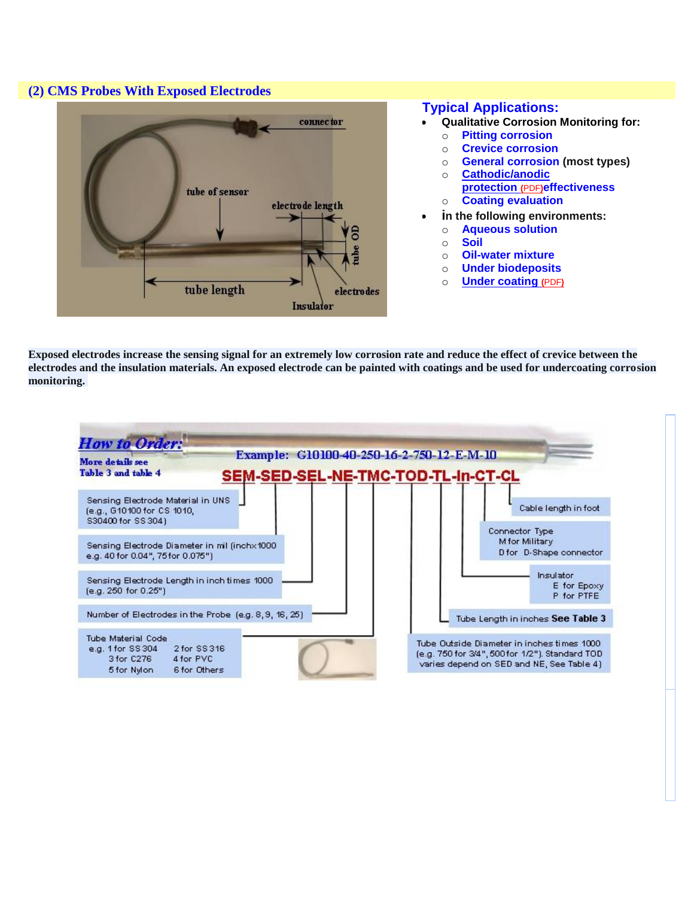## **(2) CMS Probes With Exposed Electrodes**



## **Typical Applications:**

- **Qualitative Corrosion Monitoring for:**
	- o **Pitting corrosion**
	- o **Crevice corrosion**
	- o **General corrosion (most types)**
- o **[Cathodic/anodic](http://corrinstruments.com/pdffiles/Cathodic_Protection_04094.pdf)  [protection](http://corrinstruments.com/pdffiles/Cathodic_Protection_04094.pdf) [\(](http://corrinstruments.com/pdffiles/Cathodic_Protection_04094.pdf)**[PDF](http://corrinstruments.com/pdffiles/Cathodic_Protection_04094.pdf)**)effectiveness** o **Coating evaluation**
- **in the following environments:**
	- o **Aqueous solution**
	- o **Soil**
	- o **Oil-water mixture**
	- o **Under biodeposits**
	- o **[Under coating](http://corrinstruments.com/pdffiles/Coating_04033.pdf) [\(](http://corrinstruments.com/pdffiles/Coating_04033.pdf)**[PDF](http://corrinstruments.com/pdffiles/Coating_04033.pdf)**)**

**Exposed electrodes increase the sensing signal for an extremely low corrosion rate and reduce the effect of crevice between the electrodes and the insulation materials. An exposed electrode can be painted with coatings and be used for undercoating corrosion monitoring.**